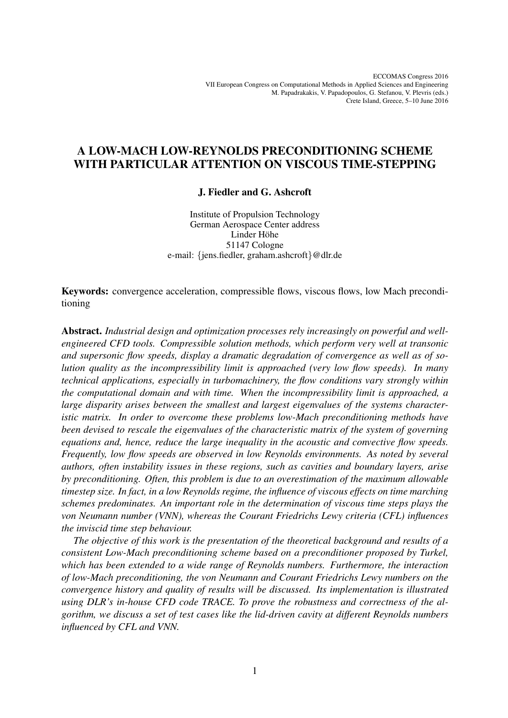# A LOW-MACH LOW-REYNOLDS PRECONDITIONING SCHEME WITH PARTICULAR ATTENTION ON VISCOUS TIME-STEPPING

## J. Fiedler and G. Ashcroft

Institute of Propulsion Technology German Aerospace Center address Linder Höhe 51147 Cologne e-mail: {jens.fiedler, graham.ashcroft}@dlr.de

Keywords: convergence acceleration, compressible flows, viscous flows, low Mach preconditioning

Abstract. *Industrial design and optimization processes rely increasingly on powerful and wellengineered CFD tools. Compressible solution methods, which perform very well at transonic and supersonic flow speeds, display a dramatic degradation of convergence as well as of solution quality as the incompressibility limit is approached (very low flow speeds). In many technical applications, especially in turbomachinery, the flow conditions vary strongly within the computational domain and with time. When the incompressibility limit is approached, a large disparity arises between the smallest and largest eigenvalues of the systems characteristic matrix. In order to overcome these problems low-Mach preconditioning methods have been devised to rescale the eigenvalues of the characteristic matrix of the system of governing equations and, hence, reduce the large inequality in the acoustic and convective flow speeds. Frequently, low flow speeds are observed in low Reynolds environments. As noted by several authors, often instability issues in these regions, such as cavities and boundary layers, arise by preconditioning. Often, this problem is due to an overestimation of the maximum allowable timestep size. In fact, in a low Reynolds regime, the influence of viscous effects on time marching schemes predominates. An important role in the determination of viscous time steps plays the von Neumann number (VNN), whereas the Courant Friedrichs Lewy criteria (CFL) influences the inviscid time step behaviour.*

*The objective of this work is the presentation of the theoretical background and results of a consistent Low-Mach preconditioning scheme based on a preconditioner proposed by Turkel, which has been extended to a wide range of Reynolds numbers. Furthermore, the interaction of low-Mach preconditioning, the von Neumann and Courant Friedrichs Lewy numbers on the convergence history and quality of results will be discussed. Its implementation is illustrated using DLR's in-house CFD code TRACE. To prove the robustness and correctness of the algorithm, we discuss a set of test cases like the lid-driven cavity at different Reynolds numbers influenced by CFL and VNN.*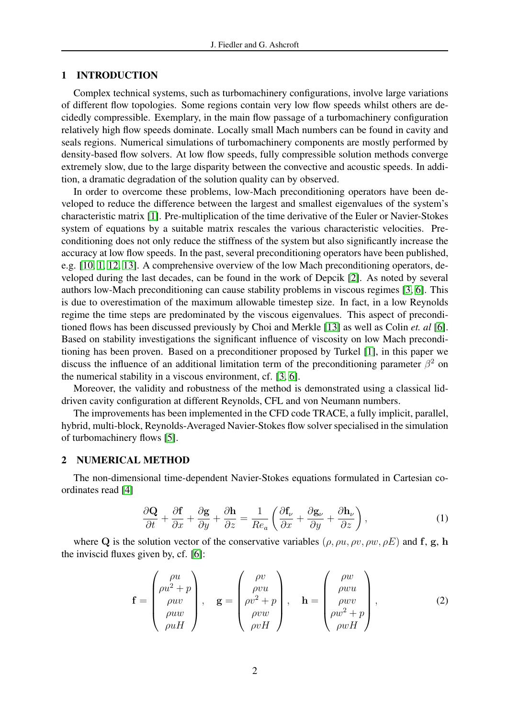#### 1 INTRODUCTION

Complex technical systems, such as turbomachinery configurations, involve large variations of different flow topologies. Some regions contain very low flow speeds whilst others are decidedly compressible. Exemplary, in the main flow passage of a turbomachinery configuration relatively high flow speeds dominate. Locally small Mach numbers can be found in cavity and seals regions. Numerical simulations of turbomachinery components are mostly performed by density-based flow solvers. At low flow speeds, fully compressible solution methods converge extremely slow, due to the large disparity between the convective and acoustic speeds. In addition, a dramatic degradation of the solution quality can by observed.

In order to overcome these problems, low-Mach preconditioning operators have been developed to reduce the difference between the largest and smallest eigenvalues of the system's characteristic matrix [\[1\]](#page-6-0). Pre-multiplication of the time derivative of the Euler or Navier-Stokes system of equations by a suitable matrix rescales the various characteristic velocities. Preconditioning does not only reduce the stiffness of the system but also significantly increase the accuracy at low flow speeds. In the past, several preconditioning operators have been published, e.g. [\[10,](#page-6-1) [1,](#page-6-0) [12,](#page-6-2) [13\]](#page-6-3). A comprehensive overview of the low Mach preconditioning operators, developed during the last decades, can be found in the work of Depcik [\[2\]](#page-6-4). As noted by several authors low-Mach preconditioning can cause stability problems in viscous regimes [\[3,](#page-6-5) [6\]](#page-6-6). This is due to overestimation of the maximum allowable timestep size. In fact, in a low Reynolds regime the time steps are predominated by the viscous eigenvalues. This aspect of preconditioned flows has been discussed previously by Choi and Merkle [\[13\]](#page-6-3) as well as Colin *et. al* [\[6\]](#page-6-6). Based on stability investigations the significant influence of viscosity on low Mach preconditioning has been proven. Based on a preconditioner proposed by Turkel [\[1\]](#page-6-0), in this paper we discuss the influence of an additional limitation term of the preconditioning parameter  $\beta^2$  on the numerical stability in a viscous environment, cf. [\[3,](#page-6-5) [6\]](#page-6-6).

Moreover, the validity and robustness of the method is demonstrated using a classical liddriven cavity configuration at different Reynolds, CFL and von Neumann numbers.

The improvements has been implemented in the CFD code TRACE, a fully implicit, parallel, hybrid, multi-block, Reynolds-Averaged Navier-Stokes flow solver specialised in the simulation of turbomachinery flows [\[5\]](#page-6-7).

### 2 NUMERICAL METHOD

<span id="page-1-0"></span>The non-dimensional time-dependent Navier-Stokes equations formulated in Cartesian coordinates read [\[4\]](#page-6-8)

$$
\frac{\partial \mathbf{Q}}{\partial t} + \frac{\partial \mathbf{f}}{\partial x} + \frac{\partial \mathbf{g}}{\partial y} + \frac{\partial \mathbf{h}}{\partial z} = \frac{1}{Re_a} \left( \frac{\partial \mathbf{f}_\nu}{\partial x} + \frac{\partial \mathbf{g}_\nu}{\partial y} + \frac{\partial \mathbf{h}_\nu}{\partial z} \right),\tag{1}
$$

where Q is the solution vector of the conservative variables  $(\rho, \rho u, \rho v, \rho w, \rho E)$  and f, g, h the inviscid fluxes given by, cf. [\[6\]](#page-6-6):

$$
\mathbf{f} = \begin{pmatrix} \rho u \\ \rho u^2 + p \\ \rho u v \\ \rho u w \\ \rho u H \end{pmatrix}, \quad \mathbf{g} = \begin{pmatrix} \rho v \\ \rho v u \\ \rho v^2 + p \\ \rho v w \\ \rho v H \end{pmatrix}, \quad \mathbf{h} = \begin{pmatrix} \rho w \\ \rho w u \\ \rho w v \\ \rho w^2 + p \\ \rho w H \end{pmatrix}, \tag{2}
$$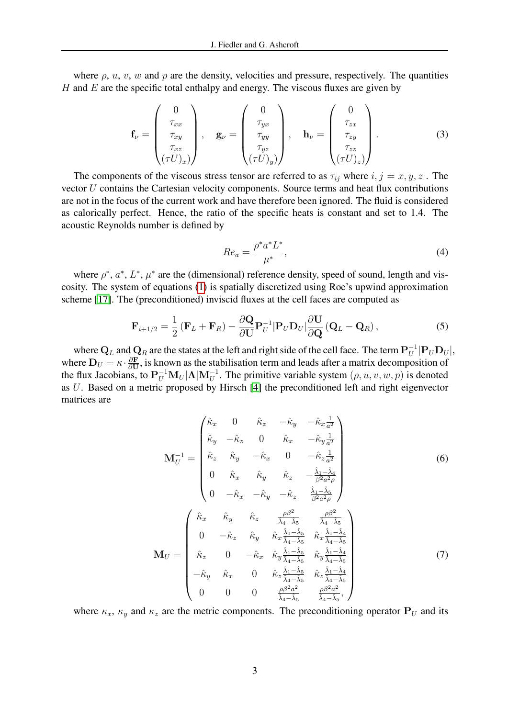where  $\rho$ ,  $u$ ,  $v$ ,  $w$  and  $p$  are the density, velocities and pressure, respectively. The quantities  $H$  and  $E$  are the specific total enthalpy and energy. The viscous fluxes are given by

$$
\mathbf{f}_{\nu} = \begin{pmatrix} 0 \\ \tau_{xx} \\ \tau_{xy} \\ \tau_{xz} \\ (\tau U)_x \end{pmatrix}, \quad \mathbf{g}_{\nu} = \begin{pmatrix} 0 \\ \tau_{yx} \\ \tau_{yy} \\ \tau_{yz} \\ (\tau U)_y \end{pmatrix}, \quad \mathbf{h}_{\nu} = \begin{pmatrix} 0 \\ \tau_{zx} \\ \tau_{zy} \\ \tau_{zz} \\ (\tau U)_z \end{pmatrix}.
$$
 (3)

The components of the viscous stress tensor are referred to as  $\tau_{ij}$  where  $i, j = x, y, z$ . The vector U contains the Cartesian velocity components. Source terms and heat flux contributions are not in the focus of the current work and have therefore been ignored. The fluid is considered as calorically perfect. Hence, the ratio of the specific heats is constant and set to 1.4. The acoustic Reynolds number is defined by

$$
Re_a = \frac{\rho^* a^* L^*}{\mu^*},\tag{4}
$$

where  $\rho^*$ ,  $a^*$ ,  $L^*$ ,  $\mu^*$  are the (dimensional) reference density, speed of sound, length and viscosity. The system of equations [\(1\)](#page-1-0) is spatially discretized using Roe's upwind approximation scheme [\[17\]](#page-6-9). The (preconditioned) inviscid fluxes at the cell faces are computed as

$$
\mathbf{F}_{i+1/2} = \frac{1}{2} \left( \mathbf{F}_L + \mathbf{F}_R \right) - \frac{\partial \mathbf{Q}}{\partial \mathbf{U}} \mathbf{P}_U^{-1} |\mathbf{P}_U \mathbf{D}_U| \frac{\partial \mathbf{U}}{\partial \mathbf{Q}} \left( \mathbf{Q}_L - \mathbf{Q}_R \right), \tag{5}
$$

where  $\mathbf{Q}_L$  and  $\mathbf{Q}_R$  are the states at the left and right side of the cell face. The term  $\mathbf{P}_U^{-1}$  $_U^{-1}|\mathbf{P}_U\mathbf{D}_U|,$ where  $\mathbf{D}_U = \kappa \cdot \frac{\partial \mathbf{F}}{\partial \mathbf{U}}$  $\frac{\partial \mathbf{F}}{\partial \mathbf{U}}$ , is known as the stabilisation term and leads after a matrix decomposition of the flux Jacobians, to  $P_U^{-1}M_U|\Lambda|M_U^{-1}$ . The primitive variable system  $(\rho, u, v, w, p)$  is denoted as U. Based on a metric proposed by Hirsch [\[4\]](#page-6-8) the preconditioned left and right eigenvector matrices are

$$
\mathbf{M}_{U}^{-1} = \begin{pmatrix} \hat{\kappa}_{x} & 0 & \hat{\kappa}_{z} & -\hat{\kappa}_{y} & -\hat{\kappa}_{x} \frac{1}{a^{2}} \\ \hat{\kappa}_{y} & -\hat{\kappa}_{z} & 0 & \hat{\kappa}_{x} & -\hat{\kappa}_{y} \frac{1}{a^{2}} \\ \hat{\kappa}_{z} & \hat{\kappa}_{y} & -\hat{\kappa}_{x} & 0 & -\hat{\kappa}_{z} \frac{1}{a^{2}} \\ 0 & \hat{\kappa}_{x} & \hat{\kappa}_{y} & \hat{\kappa}_{z} & -\frac{\hat{\lambda}_{1} - \hat{\lambda}_{4}}{\beta^{2} a^{2} \rho} \\ 0 & -\hat{\kappa}_{x} & -\hat{\kappa}_{y} & -\hat{\kappa}_{z} & \frac{\hat{\lambda}_{1} - \hat{\lambda}_{5}}{\beta^{2} a^{2} \rho} \end{pmatrix}
$$
\n
$$
\mathbf{M}_{U} = \begin{pmatrix} \hat{\kappa}_{x} & \hat{\kappa}_{y} & \hat{\kappa}_{z} & \frac{\rho \beta^{2}}{\hat{\lambda}_{4} - \hat{\lambda}_{5}} & \hat{\lambda}_{4} - \hat{\lambda}_{5} \\ 0 & -\hat{\kappa}_{z} & \hat{\kappa}_{y} & \hat{\kappa}_{x} \frac{\hat{\lambda}_{1} - \hat{\lambda}_{5}}{\hat{\lambda}_{4} - \hat{\lambda}_{5}} & \hat{\kappa}_{x} \frac{\hat{\lambda}_{1} - \hat{\lambda}_{4}}{\hat{\lambda}_{4} - \hat{\lambda}_{5}} \\ \hat{\kappa}_{z} & 0 & -\hat{\kappa}_{x} & \hat{\kappa}_{y} \frac{\hat{\lambda}_{1} - \hat{\lambda}_{5}}{\hat{\lambda}_{4} - \hat{\lambda}_{5}} & \hat{\kappa}_{y} \frac{\hat{\lambda}_{1} - \hat{\lambda}_{4}}{\hat{\lambda}_{4} - \hat{\lambda}_{5}} \\ -\hat{\kappa}_{y} & \hat{\kappa}_{x} & 0 & \hat{\kappa}_{z} \frac{\hat{\lambda}_{1} - \hat{\lambda}_{5}}{\hat{\lambda}_{4} - \hat{\lambda}_{5}} & \hat{\kappa}_{z} \frac{\hat{\lambda}_{1} - \hat{\lambda}_{4}}{\hat{\lambda}_{4} - \hat{\lambda}_{5}} \end{pmatrix}
$$
\n
$$
0 \quad 0 \quad 0 \quad \frac{\rho \beta^{2} a^{2}}{\hat{\lambda}_{4} - \hat{\lambda}_{5}} \quad \frac{\rho \
$$

where  $\kappa_x$ ,  $\kappa_y$  and  $\kappa_z$  are the metric components. The preconditioning operator  $P_U$  and its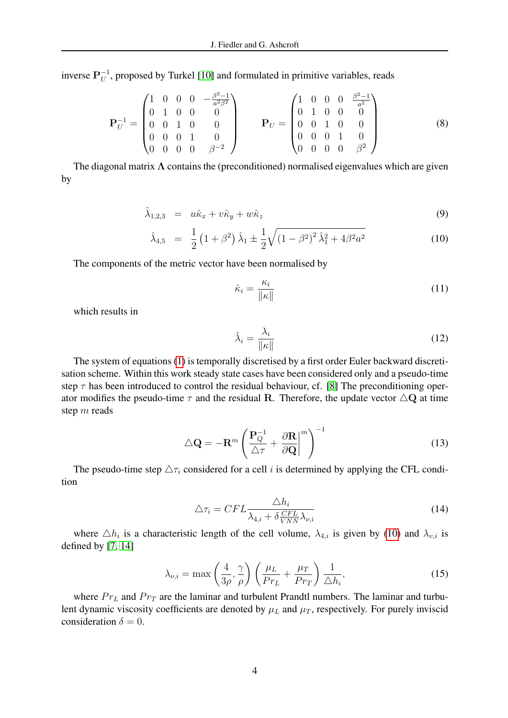inverse  ${\bf P}_U^{-1}$  $U$ <sup>-1</sup>, proposed by Turkel [\[10\]](#page-6-1) and formulated in primitive variables, reads

$$
\mathbf{P}_{U}^{-1} = \begin{pmatrix} 1 & 0 & 0 & 0 & -\frac{\beta^{2}-1}{a^{2}\beta^{2}} \\ 0 & 1 & 0 & 0 & 0 \\ 0 & 0 & 1 & 0 & 0 \\ 0 & 0 & 0 & 1 & 0 \\ 0 & 0 & 0 & 0 & \beta^{-2} \end{pmatrix} \qquad \mathbf{P}_{U} = \begin{pmatrix} 1 & 0 & 0 & 0 & \frac{\beta^{2}-1}{a^{2}} \\ 0 & 1 & 0 & 0 & 0 \\ 0 & 0 & 1 & 0 & 0 \\ 0 & 0 & 0 & 1 & 0 \\ 0 & 0 & 0 & 0 & \beta^{2} \end{pmatrix}
$$
(8)

The diagonal matrix  $\Lambda$  contains the (preconditioned) normalised eigenvalues which are given by

<span id="page-3-0"></span>
$$
\hat{\lambda}_{1,2,3} = u\hat{\kappa}_x + v\hat{\kappa}_y + w\hat{\kappa}_z \tag{9}
$$

$$
\hat{\lambda}_{4,5} = \frac{1}{2} \left( 1 + \beta^2 \right) \hat{\lambda}_1 \pm \frac{1}{2} \sqrt{\left( 1 - \beta^2 \right)^2 \hat{\lambda}_1^2 + 4 \beta^2 a^2}
$$
\n(10)

The components of the metric vector have been normalised by

$$
\hat{\kappa}_i = \frac{\kappa_i}{\|\kappa\|} \tag{11}
$$

which results in

$$
\hat{\lambda}_i = \frac{\lambda_i}{\|\kappa\|} \tag{12}
$$

The system of equations [\(1\)](#page-1-0) is temporally discretised by a first order Euler backward discretisation scheme. Within this work steady state cases have been considered only and a pseudo-time step  $\tau$  has been introduced to control the residual behaviour, cf. [\[8\]](#page-6-10) The preconditioning operator modifies the pseudo-time  $\tau$  and the residual R. Therefore, the update vector  $\triangle$ Q at time step m reads

$$
\Delta \mathbf{Q} = -\mathbf{R}^m \left( \frac{\mathbf{P}_Q^{-1}}{\Delta \tau} + \left. \frac{\partial \mathbf{R}}{\partial \mathbf{Q}} \right|^{m} \right)^{-1} \tag{13}
$$

The pseudo-time step  $\Delta \tau_i$  considered for a cell i is determined by applying the CFL condition

$$
\Delta \tau_i = CFL \frac{\Delta h_i}{\lambda_{4,i} + \delta \frac{CFL}{VNN} \lambda_{\nu,i}} \tag{14}
$$

where  $\Delta h_i$  is a characteristic length of the cell volume,  $\lambda_{4,i}$  is given by [\(10\)](#page-3-0) and  $\lambda_{v,i}$  is defined by [\[7,](#page-6-11) [14\]](#page-6-12)

$$
\lambda_{\nu,i} = \max\left(\frac{4}{3\rho}, \frac{\gamma}{\rho}\right) \left(\frac{\mu_L}{Pr_L} + \frac{\mu_T}{Pr_T}\right) \frac{1}{\Delta h_i},\tag{15}
$$

where  $Pr<sub>L</sub>$  and  $Pr<sub>T</sub>$  are the laminar and turbulent Prandtl numbers. The laminar and turbulent dynamic viscosity coefficients are denoted by  $\mu_L$  and  $\mu_T$ , respectively. For purely inviscid consideration  $\delta = 0$ .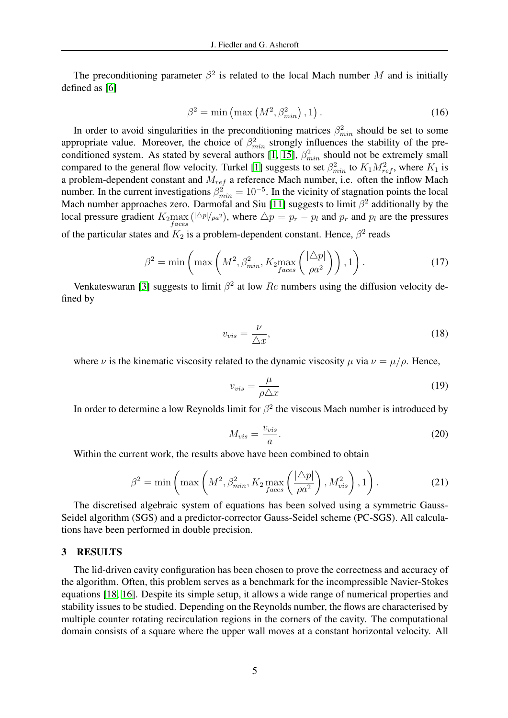The preconditioning parameter  $\beta^2$  is related to the local Mach number M and is initially defined as [\[6\]](#page-6-6)

$$
\beta^2 = \min\left(\max\left(M^2, \beta_{\min}^2\right), 1\right). \tag{16}
$$

In order to avoid singularities in the preconditioning matrices  $\beta_{min}^2$  should be set to some appropriate value. Moreover, the choice of  $\beta_{min}^2$  strongly influences the stability of the pre-conditioned system. As stated by several authors [\[1,](#page-6-0) [15\]](#page-7-0),  $\beta_{min}^2$  should not be extremely small compared to the general flow velocity. Turkel [\[1\]](#page-6-0) suggests to set  $\beta_{min}^2$  to  $K_1 M_{ref}^2$ , where  $K_1$  is a problem-dependent constant and  $M_{ref}$  a reference Mach number, i.e. often the inflow Mach number. In the current investigations  $\beta_{min}^2 = 10^{-5}$ . In the vicinity of stagnation points the local Mach number approaches zero. Darmofal and Siu [\[11\]](#page-6-13) suggests to limit  $\beta^2$  additionally by the local pressure gradient  $K_2$ max ( $|\Delta p|/_{\rho a^2}$ ), where  $\Delta p = p_r - p_l$  and  $p_r$  and  $p_l$  are the pressures of the particular states and  $K_2$  is a problem-dependent constant. Hence,  $\beta^2$  reads

$$
\beta^2 = \min\left(\max\left(M^2, \beta_{min}^2, K_2 \max_{faces}\left(\frac{|\Delta p|}{\rho a^2}\right)\right), 1\right). \tag{17}
$$

Venkateswaran [\[3\]](#page-6-5) suggests to limit  $\beta^2$  at low  $Re$  numbers using the diffusion velocity defined by

$$
v_{vis} = \frac{\nu}{\triangle x},\tag{18}
$$

where  $\nu$  is the kinematic viscosity related to the dynamic viscosity  $\mu$  via  $\nu = \mu/\rho$ . Hence,

$$
v_{vis} = \frac{\mu}{\rho \triangle x} \tag{19}
$$

In order to determine a low Reynolds limit for  $\beta^2$  the viscous Mach number is introduced by

$$
M_{vis} = \frac{v_{vis}}{a}.\tag{20}
$$

<span id="page-4-0"></span>Within the current work, the results above have been combined to obtain

$$
\beta^2 = \min\left(\max\left(M^2, \beta_{\min}^2, K_2 \max_{faces}\left(\frac{|\Delta p|}{\rho a^2}\right), M_{vis}^2\right), 1\right). \tag{21}
$$

The discretised algebraic system of equations has been solved using a symmetric Gauss-Seidel algorithm (SGS) and a predictor-corrector Gauss-Seidel scheme (PC-SGS). All calculations have been performed in double precision.

#### 3 RESULTS

The lid-driven cavity configuration has been chosen to prove the correctness and accuracy of the algorithm. Often, this problem serves as a benchmark for the incompressible Navier-Stokes equations [\[18,](#page-7-1) [16\]](#page-7-2). Despite its simple setup, it allows a wide range of numerical properties and stability issues to be studied. Depending on the Reynolds number, the flows are characterised by multiple counter rotating recirculation regions in the corners of the cavity. The computational domain consists of a square where the upper wall moves at a constant horizontal velocity. All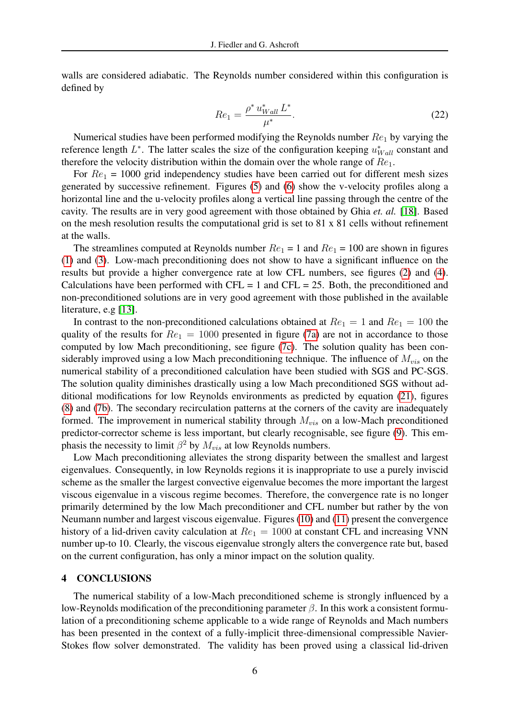walls are considered adiabatic. The Reynolds number considered within this configuration is defined by

$$
Re_1 = \frac{\rho^* u_{Wall}^* L^*}{\mu^*}.
$$
\n(22)

Numerical studies have been performed modifying the Reynolds number  $Re_1$  by varying the reference length  $L^*$ . The latter scales the size of the configuration keeping  $u_{Wall}^*$  constant and therefore the velocity distribution within the domain over the whole range of  $Re<sub>1</sub>$ .

For  $Re_1$  = 1000 grid independency studies have been carried out for different mesh sizes generated by successive refinement. Figures [\(5\)](#page-9-0) and [\(6\)](#page-9-1) show the v-velocity profiles along a horizontal line and the u-velocity profiles along a vertical line passing through the centre of the cavity. The results are in very good agreement with those obtained by Ghia *et. al.* [\[18\]](#page-7-1). Based on the mesh resolution results the computational grid is set to 81 x 81 cells without refinement at the walls.

The streamlines computed at Reynolds number  $Re_1 = 1$  and  $Re_1 = 100$  are shown in figures [\(1\)](#page-7-3) and [\(3\)](#page-8-0). Low-mach preconditioning does not show to have a significant influence on the results but provide a higher convergence rate at low CFL numbers, see figures [\(2\)](#page-7-4) and [\(4\)](#page-8-1). Calculations have been performed with  $CFL = 1$  and  $CFL = 25$ . Both, the preconditioned and non-preconditioned solutions are in very good agreement with those published in the available literature, e.g [\[13\]](#page-6-3).

In contrast to the non-preconditioned calculations obtained at  $Re_1 = 1$  and  $Re_1 = 100$  the quality of the results for  $Re_1 = 1000$  presented in figure [\(7a\)](#page-10-0) are not in accordance to those computed by low Mach preconditioning, see figure [\(7c\)](#page-10-1). The solution quality has been considerably improved using a low Mach preconditioning technique. The influence of  $M_{vis}$  on the numerical stability of a preconditioned calculation have been studied with SGS and PC-SGS. The solution quality diminishes drastically using a low Mach preconditioned SGS without additional modifications for low Reynolds environments as predicted by equation [\(21\)](#page-4-0), figures [\(8\)](#page-10-2) and [\(7b\)](#page-10-3). The secondary recirculation patterns at the corners of the cavity are inadequately formed. The improvement in numerical stability through  $M_{vis}$  on a low-Mach preconditioned predictor-corrector scheme is less important, but clearly recognisable, see figure [\(9\)](#page-11-0). This emphasis the necessity to limit  $\beta^2$  by  $M_{vis}$  at low Reynolds numbers.

Low Mach preconditioning alleviates the strong disparity between the smallest and largest eigenvalues. Consequently, in low Reynolds regions it is inappropriate to use a purely inviscid scheme as the smaller the largest convective eigenvalue becomes the more important the largest viscous eigenvalue in a viscous regime becomes. Therefore, the convergence rate is no longer primarily determined by the low Mach preconditioner and CFL number but rather by the von Neumann number and largest viscous eigenvalue. Figures [\(10\)](#page-11-1) and [\(11\)](#page-12-0) present the convergence history of a lid-driven cavity calculation at  $Re_1 = 1000$  at constant CFL and increasing VNN number up-to 10. Clearly, the viscous eigenvalue strongly alters the convergence rate but, based on the current configuration, has only a minor impact on the solution quality.

#### 4 CONCLUSIONS

The numerical stability of a low-Mach preconditioned scheme is strongly influenced by a low-Reynolds modification of the preconditioning parameter  $\beta$ . In this work a consistent formulation of a preconditioning scheme applicable to a wide range of Reynolds and Mach numbers has been presented in the context of a fully-implicit three-dimensional compressible Navier-Stokes flow solver demonstrated. The validity has been proved using a classical lid-driven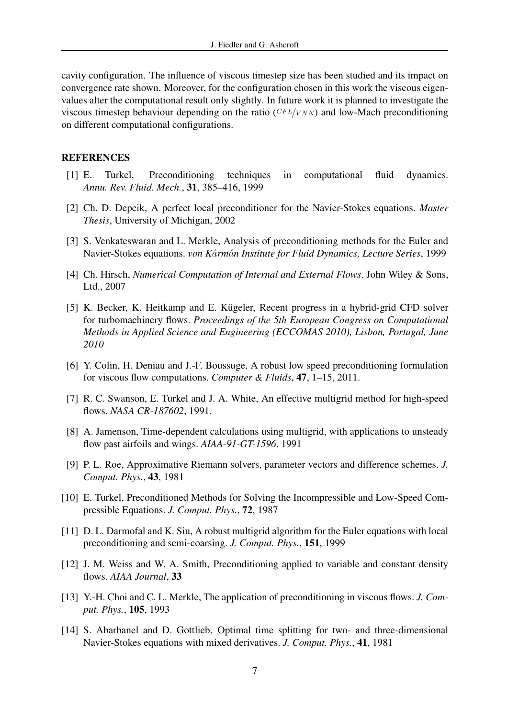cavity configuration. The influence of viscous timestep size has been studied and its impact on convergence rate shown. Moreover, for the configuration chosen in this work the viscous eigenvalues alter the computational result only slightly. In future work it is planned to investigate the viscous timestep behaviour depending on the ratio  $(CFL/NN)$  and low-Mach preconditioning on different computational configurations.

#### <span id="page-6-0"></span>**REFERENCES**

- [1] E. Turkel, Preconditioning techniques in computational fluid dynamics. *Annu. Rev. Fluid. Mech.*, 31, 385–416, 1999
- <span id="page-6-4"></span>[2] Ch. D. Depcik, A perfect local preconditioner for the Navier-Stokes equations. *Master Thesis*, University of Michigan, 2002
- <span id="page-6-5"></span>[3] S. Venkateswaran and L. Merkle, Analysis of preconditioning methods for the Euler and Navier-Stokes equations. *von K*a´*rm*a´*n Institute for Fluid Dynamics, Lecture Series*, 1999
- <span id="page-6-8"></span>[4] Ch. Hirsch, *Numerical Computation of Internal and External Flows*. John Wiley & Sons, Ltd., 2007
- <span id="page-6-7"></span>[5] K. Becker, K. Heitkamp and E. Kügeler, Recent progress in a hybrid-grid CFD solver for turbomachinery flows. *Proceedings of the 5th European Congress on Computational Methods in Applied Science and Engineering (ECCOMAS 2010), Lisbon, Portugal, June 2010*
- <span id="page-6-6"></span>[6] Y. Colin, H. Deniau and J.-F. Boussuge, A robust low speed preconditioning formulation for viscous flow computations. *Computer & Fluids*, 47, 1–15, 2011.
- <span id="page-6-11"></span>[7] R. C. Swanson, E. Turkel and J. A. White, An effective multigrid method for high-speed flows. *NASA CR-187602*, 1991.
- <span id="page-6-10"></span>[8] A. Jamenson, Time-dependent calculations using multigrid, with applications to unsteady flow past airfoils and wings. *AIAA-91-GT-1596*, 1991
- <span id="page-6-9"></span>[9] P. L. Roe, Approximative Riemann solvers, parameter vectors and difference schemes. *J. Comput. Phys.*, 43, 1981
- <span id="page-6-1"></span>[10] E. Turkel, Preconditioned Methods for Solving the Incompressible and Low-Speed Compressible Equations. *J. Comput. Phys.*, 72, 1987
- <span id="page-6-13"></span>[11] D. L. Darmofal and K. Siu, A robust multigrid algorithm for the Euler equations with local preconditioning and semi-coarsing. *J. Comput. Phys.*, 151, 1999
- <span id="page-6-2"></span>[12] J. M. Weiss and W. A. Smith, Preconditioning applied to variable and constant density flows. *AIAA Journal*, 33
- <span id="page-6-3"></span>[13] Y.-H. Choi and C. L. Merkle, The application of preconditioning in viscous flows. *J. Comput. Phys.*, 105, 1993
- <span id="page-6-12"></span>[14] S. Abarbanel and D. Gottlieb, Optimal time splitting for two- and three-dimensional Navier-Stokes equations with mixed derivatives. *J. Comput. Phys.*, 41, 1981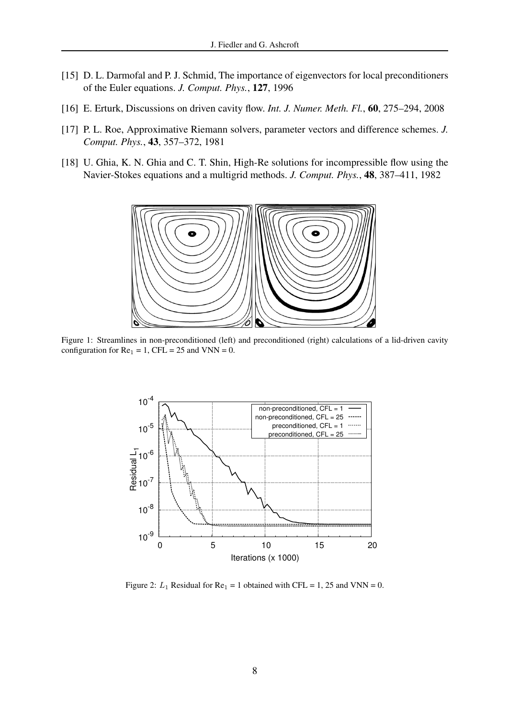- <span id="page-7-0"></span>[15] D. L. Darmofal and P. J. Schmid, The importance of eigenvectors for local preconditioners of the Euler equations. *J. Comput. Phys.*, 127, 1996
- <span id="page-7-2"></span>[16] E. Erturk, Discussions on driven cavity flow. *Int. J. Numer. Meth. Fl.*, 60, 275–294, 2008
- [17] P. L. Roe, Approximative Riemann solvers, parameter vectors and difference schemes. *J. Comput. Phys.*, 43, 357–372, 1981
- <span id="page-7-1"></span>[18] U. Ghia, K. N. Ghia and C. T. Shin, High-Re solutions for incompressible flow using the Navier-Stokes equations and a multigrid methods. *J. Comput. Phys.*, 48, 387–411, 1982



Figure 1: Streamlines in non-preconditioned (left) and preconditioned (right) calculations of a lid-driven cavity configuration for  $Re_1 = 1$ , CFL = 25 and VNN = 0.

<span id="page-7-3"></span>

<span id="page-7-4"></span>Figure 2:  $L_1$  Residual for  $Re_1 = 1$  obtained with CFL = 1, 25 and VNN = 0.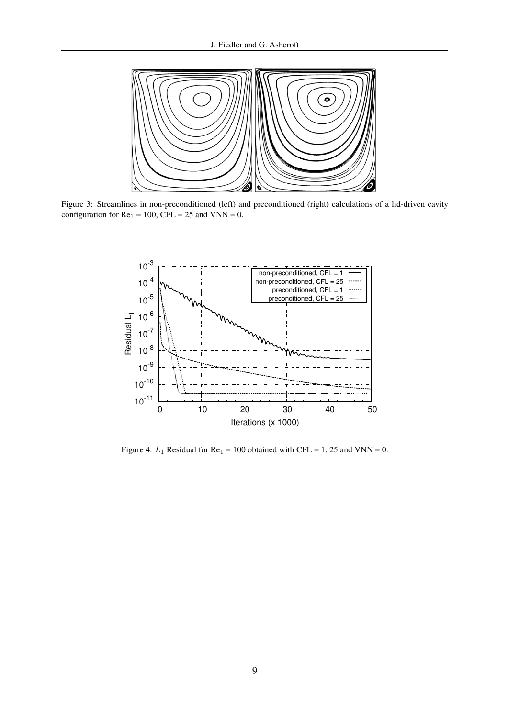

Figure 3: Streamlines in non-preconditioned (left) and preconditioned (right) calculations of a lid-driven cavity configuration for  $Re_1 = 100$ ,  $CFL = 25$  and  $VNN = 0$ .

<span id="page-8-0"></span>

<span id="page-8-1"></span>Figure 4:  $L_1$  Residual for Re<sub>1</sub> = 100 obtained with CFL = 1, 25 and VNN = 0.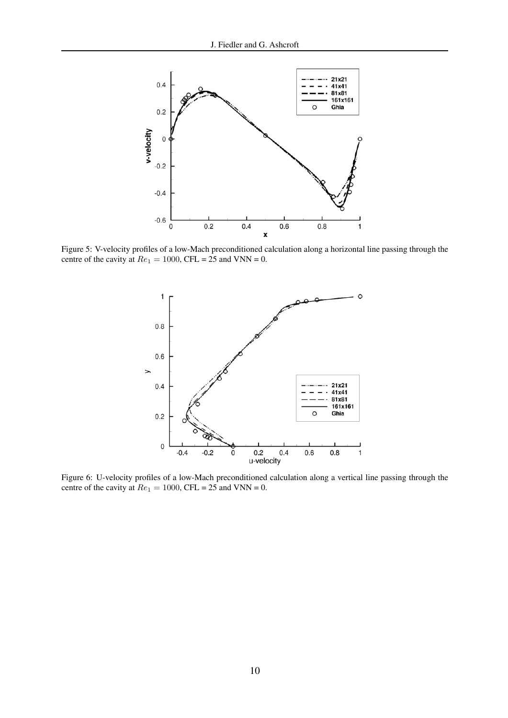

Figure 5: V-velocity profiles of a low-Mach preconditioned calculation along a horizontal line passing through the centre of the cavity at  $Re_1 = 1000$ , CFL = 25 and VNN = 0.

<span id="page-9-1"></span><span id="page-9-0"></span>

Figure 6: U-velocity profiles of a low-Mach preconditioned calculation along a vertical line passing through the centre of the cavity at  $Re_1 = 1000$ , CFL = 25 and VNN = 0.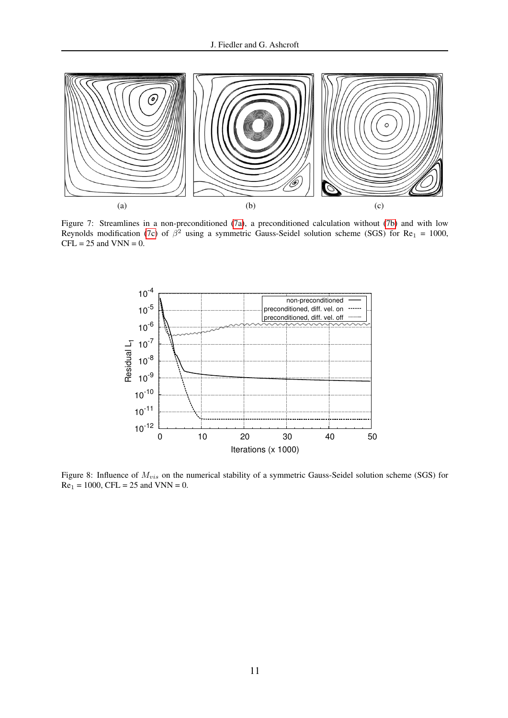<span id="page-10-0"></span>

Figure 7: Streamlines in a non-preconditioned [\(7a\)](#page-10-0), a preconditioned calculation without [\(7b\)](#page-10-3) and with low Reynolds modification [\(7c\)](#page-10-1) of  $\beta^2$  using a symmetric Gauss-Seidel solution scheme (SGS) for Re<sub>1</sub> = 1000,  $CFL = 25$  and  $VNN = 0$ .

<span id="page-10-3"></span><span id="page-10-2"></span><span id="page-10-1"></span>

Figure 8: Influence of  $M_{vis}$  on the numerical stability of a symmetric Gauss-Seidel solution scheme (SGS) for  $Re_1 = 1000$ , CFL = 25 and VNN = 0.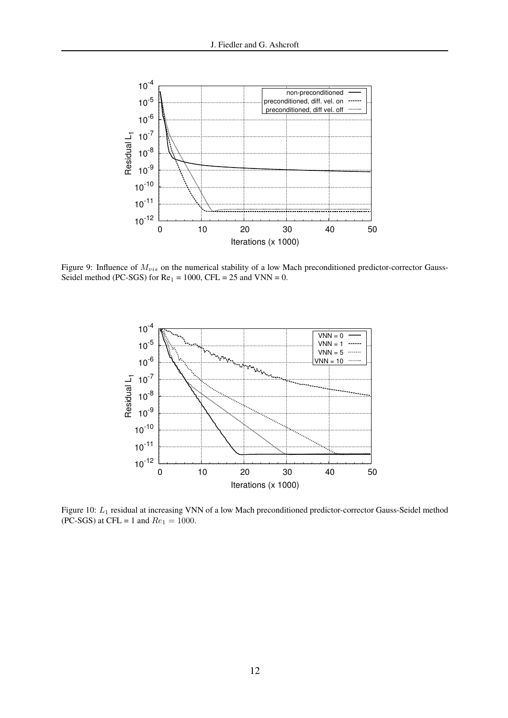![](_page_11_Figure_1.jpeg)

Figure 9: Influence of  $M_{vis}$  on the numerical stability of a low Mach preconditioned predictor-corrector Gauss-Seidel method (PC-SGS) for  $Re_1 = 1000$ , CFL = 25 and VNN = 0.

<span id="page-11-1"></span><span id="page-11-0"></span>![](_page_11_Figure_3.jpeg)

Figure 10: L<sup>1</sup> residual at increasing VNN of a low Mach preconditioned predictor-corrector Gauss-Seidel method (PC-SGS) at CFL = 1 and  $Re_1 = 1000$ .